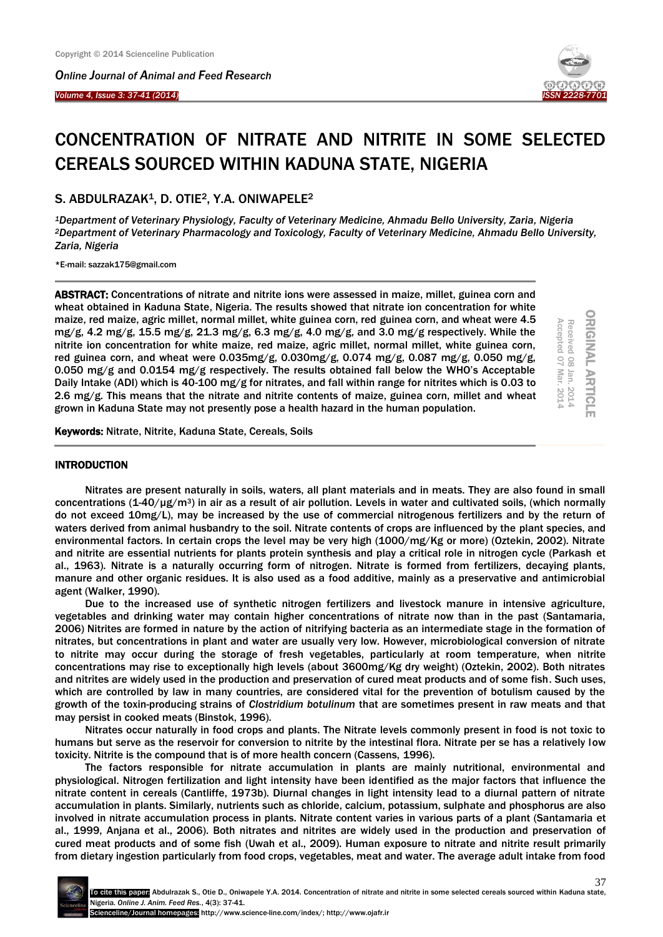*Online Journal of Animal and Feed Research* 

*Volume 4, Issue 3: 37-41 (2014)* 

Ξ



# CONCENTRATION OF NITRATE AND NITRITE IN SOME SELECTED CEREALS SOURCED WITHIN KADUNA STATE, NIGERIA

## S. ABDULRAZAK1, D. OTIE2, Y.A. ONIWAPELE<sup>2</sup>

*<sup>1</sup>Department of Veterinary Physiology, Faculty of Veterinary Medicine, Ahmadu Bello University, Zaria, Nigeria <sup>2</sup>Department of Veterinary Pharmacology and Toxicology, Faculty of Veterinary Medicine, Ahmadu Bello University, Zaria, Nigeria*

\*E-mail: sazzak175@gmail.com

ABSTRACT: Concentrations of nitrate and nitrite ions were assessed in maize, millet, guinea corn and wheat obtained in Kaduna State, Nigeria. The results showed that nitrate ion concentration for white maize, red maize, agric millet, normal millet, white guinea corn, red guinea corn, and wheat were 4.5 mg/g, 4.2 mg/g, 15.5 mg/g, 21.3 mg/g, 6.3 mg/g, 4.0 mg/g, and 3.0 mg/g respectively. While the nitrite ion concentration for white maize, red maize, agric millet, normal millet, white guinea corn, red guinea corn, and wheat were 0.035mg/g, 0.030mg/g, 0.074 mg/g, 0.087 mg/g, 0.050 mg/g, 0.050 mg/g and 0.0154 mg/g respectively. The results obtained fall below the WHO's Acceptable Daily Intake (ADI) which is 40-100 mg/g for nitrates, and fall within range for nitrites which is 0.03 to 2.6 mg/g. This means that the nitrate and nitrite contents of maize, guinea corn, millet and wheat grown in Kaduna State may not presently pose a health hazard in the human population.

**ORIGINAL ARTICI** ORIGINAL ARTICLE Received 08 Jan. 2014<br>Accepted 07 Mar. 2014 Accepted 07 Mar. 2014 Jan. 2014

Keywords: Nitrate, Nitrite, Kaduna State, Cereals, Soils

#### INTRODUCTION

Nitrates are present naturally in soils, waters, all plant materials and in meats. They are also found in small concentrations (1-40/ $\mu$ g/m<sup>3</sup>) in air as a result of air pollution. Levels in water and cultivated soils, (which normally do not exceed 10mg/L), may be increased by the use of commercial nitrogenous fertilizers and by the return of waters derived from animal husbandry to the soil. Nitrate contents of crops are influenced by the plant species, and environmental factors. In certain crops the level may be very high (1000/mg/Kg or more) (Oztekin, 2002). Nitrate and nitrite are essential nutrients for plants protein synthesis and play a critical role in nitrogen cycle (Parkash et al., 1963). Nitrate is a naturally occurring form of nitrogen. Nitrate is formed from fertilizers, decaying plants, manure and other organic residues. It is also used as a food additive, mainly as a preservative and antimicrobial agent (Walker, 1990).

Due to the increased use of synthetic nitrogen fertilizers and livestock manure in intensive agriculture, vegetables and drinking water may contain higher concentrations of nitrate now than in the past (Santamaria, 2006) Nitrites are formed in nature by the action of nitrifying bacteria as an intermediate stage in the formation of nitrates, but concentrations in plant and water are usually very low. However, microbiological conversion of nitrate to nitrite may occur during the storage of fresh vegetables, particularly at room temperature, when nitrite concentrations may rise to exceptionally high levels (about 3600mg/Kg dry weight) (Oztekin, 2002). Both nitrates and nitrites are widely used in the production and preservation of cured meat products and of some fish. Such uses, which are controlled by law in many countries, are considered vital for the prevention of botulism caused by the growth of the toxin-producing strains of *Clostridium botulinum* that are sometimes present in raw meats and that may persist in cooked meats (Binstok, 1996).

Nitrates occur naturally in food crops and plants. The Nitrate levels commonly present in food is not toxic to humans but serve as the reservoir for conversion to nitrite by the intestinal flora. Nitrate per se has a relatively low toxicity. Nitrite is the compound that is of more health concern (Cassens, 1996).

The factors responsible for nitrate accumulation in plants are mainly nutritional, environmental and physiological. Nitrogen fertilization and light intensity have been identified as the major factors that influence the nitrate content in cereals (Cantliffe, 1973b). Diurnal changes in light intensity lead to a diurnal pattern of nitrate accumulation in plants. Similarly, nutrients such as chloride, calcium, potassium, sulphate and phosphorus are also involved in nitrate accumulation process in plants. Nitrate content varies in various parts of a plant (Santamaria et al., 1999, Anjana et al., 2006). Both nitrates and nitrites are widely used in the production and preservation of cured meat products and of some fish (Uwah et al., 2009). Human exposure to nitrate and nitrite result primarily from dietary ingestion particularly from food crops, vegetables, meat and water. The average adult intake from food

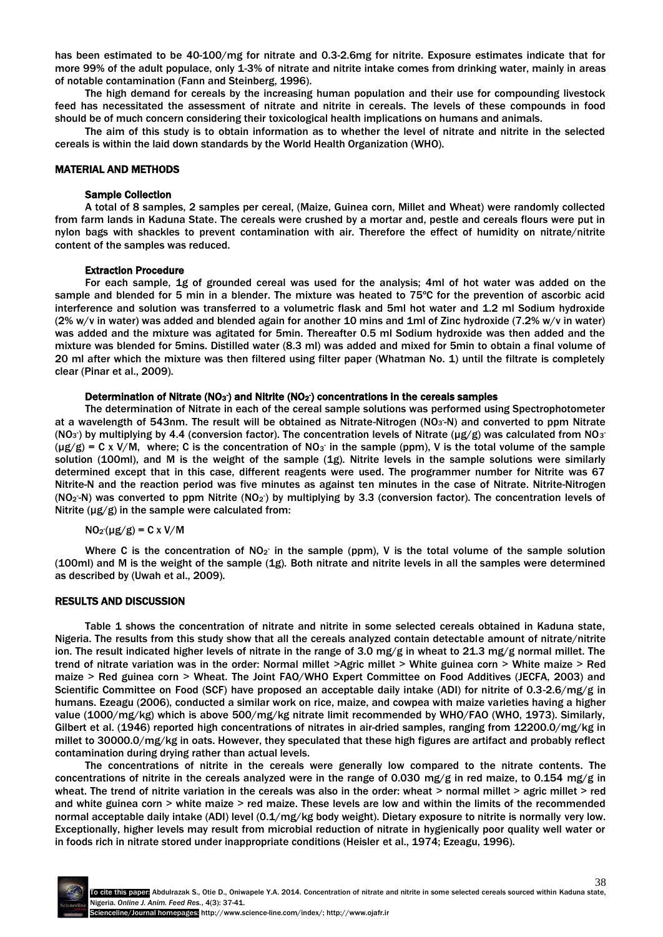has been estimated to be 40-100/mg for nitrate and 0.3-2.6mg for nitrite. Exposure estimates indicate that for more 99% of the adult populace, only 1-3% of nitrate and nitrite intake comes from drinking water, mainly in areas of notable contamination (Fann and Steinberg, 1996).

The high demand for cereals by the increasing human population and their use for compounding livestock feed has necessitated the assessment of nitrate and nitrite in cereals. The levels of these compounds in food should be of much concern considering their toxicological health implications on humans and animals.

The aim of this study is to obtain information as to whether the level of nitrate and nitrite in the selected cereals is within the laid down standards by the World Health Organization (WHO).

#### MATERIAL AND METHODS

#### Sample Collection

A total of 8 samples, 2 samples per cereal, (Maize, Guinea corn, Millet and Wheat) were randomly collected from farm lands in Kaduna State. The cereals were crushed by a mortar and, pestle and cereals flours were put in nylon bags with shackles to prevent contamination with air. Therefore the effect of humidity on nitrate/nitrite content of the samples was reduced.

#### Extraction Procedure

For each sample, 1g of grounded cereal was used for the analysis; 4ml of hot water was added on the sample and blended for 5 min in a blender. The mixture was heated to 75ºC for the prevention of ascorbic acid interference and solution was transferred to a volumetric flask and 5ml hot water and 1.2 ml Sodium hydroxide (2% w/v in water) was added and blended again for another 10 mins and 1ml of Zinc hydroxide (7.2% w/v in water) was added and the mixture was agitated for 5min. Thereafter 0.5 ml Sodium hydroxide was then added and the mixture was blended for 5mins. Distilled water (8.3 ml) was added and mixed for 5min to obtain a final volume of 20 ml after which the mixture was then filtered using filter paper (Whatman No. 1) until the filtrate is completely clear (Pinar et al., 2009).

#### Determination of Nitrate (NO<sub>3</sub>) and Nitrite (NO<sub>2</sub>) concentrations in the cereals samples

The determination of Nitrate in each of the cereal sample solutions was performed using Spectrophotometer at a wavelength of 543nm. The result will be obtained as Nitrate-Nitrogen (NO<sub>3</sub>-N) and converted to ppm Nitrate (NO<sub>3</sub>) by multiplying by 4.4 (conversion factor). The concentration levels of Nitrate (µg/g) was calculated from NO<sub>3</sub>  $(\mu g/g)$  = C x V/M, where; C is the concentration of NO<sub>3</sub> in the sample (ppm), V is the total volume of the sample solution (100ml), and M is the weight of the sample (1g). Nitrite levels in the sample solutions were similarly determined except that in this case, different reagents were used. The programmer number for Nitrite was 67 Nitrite-N and the reaction period was five minutes as against ten minutes in the case of Nitrate. Nitrite-Nitrogen (NO<sub>2</sub>-N) was converted to ppm Nitrite (NO<sub>2</sub>) by multiplying by 3.3 (conversion factor). The concentration levels of Nitrite  $(\mu g/g)$  in the sample were calculated from:

#### $NO<sub>2</sub>(µg/g) = C x V/M$

Where C is the concentration of NO<sub>2</sub> in the sample (ppm), V is the total volume of the sample solution (100ml) and M is the weight of the sample (1g). Both nitrate and nitrite levels in all the samples were determined as described by (Uwah et al., 2009).

#### RESULTS AND DISCUSSION

Table 1 shows the concentration of nitrate and nitrite in some selected cereals obtained in Kaduna state, Nigeria. The results from this study show that all the cereals analyzed contain detectable amount of nitrate/nitrite ion. The result indicated higher levels of nitrate in the range of 3.0 mg/g in wheat to 21.3 mg/g normal millet. The trend of nitrate variation was in the order: Normal millet >Agric millet > White guinea corn > White maize > Red maize > Red guinea corn > Wheat. The Joint FAO/WHO Expert Committee on Food Additives (JECFA, 2003) and Scientific Committee on Food (SCF) have proposed an acceptable daily intake (ADI) for nitrite of 0.3-2.6/mg/g in humans. Ezeagu (2006), conducted a similar work on rice, maize, and cowpea with maize varieties having a higher value (1000/mg/kg) which is above 500/mg/kg nitrate limit recommended by WHO/FAO (WHO, 1973). Similarly, Gilbert et al. (1946) reported high concentrations of nitrates in air-dried samples, ranging from 12200.0/mg/kg in millet to 30000.0/mg/kg in oats. However, they speculated that these high figures are artifact and probably reflect contamination during drying rather than actual levels.

The concentrations of nitrite in the cereals were generally low compared to the nitrate contents. The concentrations of nitrite in the cereals analyzed were in the range of 0.030 mg/g in red maize, to 0.154 mg/g in wheat. The trend of nitrite variation in the cereals was also in the order: wheat  $>$  normal millet  $>$  agric millet  $>$  red and white guinea corn > white maize > red maize. These levels are low and within the limits of the recommended normal acceptable daily intake (ADI) level (0.1/mg/kg body weight). Dietary exposure to nitrite is normally very low. Exceptionally, higher levels may result from microbial reduction of nitrate in hygienically poor quality well water or in foods rich in nitrate stored under inappropriate conditions (Heisler et al., 1974; Ezeagu, 1996).

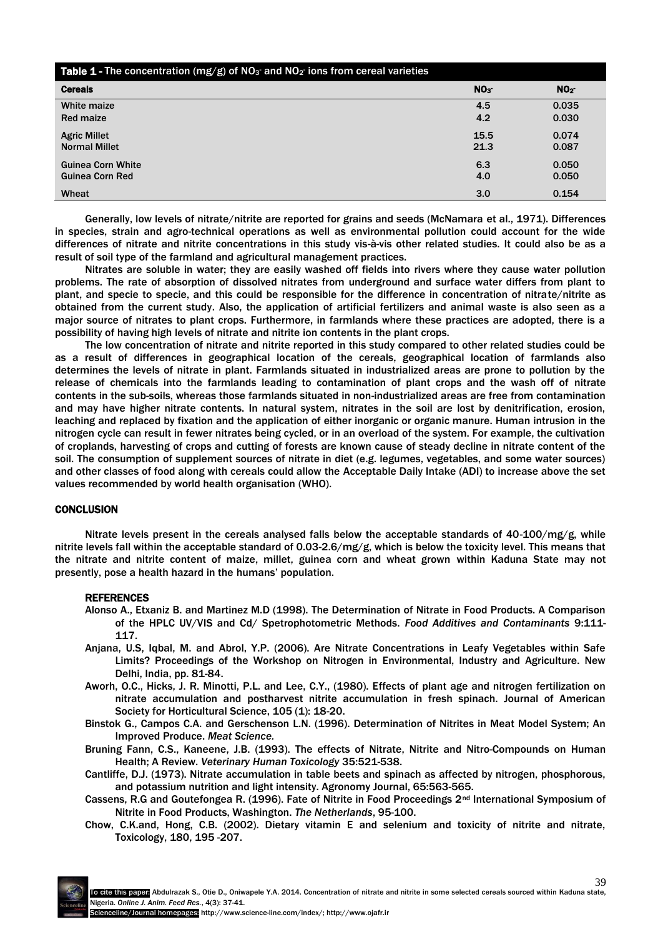| Table 1 - The concentration (mg/g) of NO <sub>3</sub> and NO <sub>2</sub> ions from cereal varieties |                 |                 |
|------------------------------------------------------------------------------------------------------|-----------------|-----------------|
| <b>Cereals</b>                                                                                       | NO <sub>3</sub> | NO <sub>2</sub> |
| White maize                                                                                          | 4.5             | 0.035           |
| <b>Red maize</b>                                                                                     | 4.2             | 0.030           |
| <b>Agric Millet</b>                                                                                  | 15.5            | 0.074           |
| <b>Normal Millet</b>                                                                                 | 21.3            | 0.087           |
| <b>Guinea Corn White</b>                                                                             | 6.3             | 0.050           |
| Guinea Corn Red                                                                                      | 4.0             | 0.050           |
| Wheat                                                                                                | 3.0             | 0.154           |

Generally, low levels of nitrate/nitrite are reported for grains and seeds (McNamara et al., 1971). Differences in species, strain and agro-technical operations as well as environmental pollution could account for the wide differences of nitrate and nitrite concentrations in this study vis-à-vis other related studies. It could also be as a result of soil type of the farmland and agricultural management practices.

Nitrates are soluble in water; they are easily washed off fields into rivers where they cause water pollution problems. The rate of absorption of dissolved nitrates from underground and surface water differs from plant to plant, and specie to specie, and this could be responsible for the difference in concentration of nitrate/nitrite as obtained from the current study. Also, the application of artificial fertilizers and animal waste is also seen as a major source of nitrates to plant crops. Furthermore, in farmlands where these practices are adopted, there is a possibility of having high levels of nitrate and nitrite ion contents in the plant crops.

The low concentration of nitrate and nitrite reported in this study compared to other related studies could be as a result of differences in geographical location of the cereals, geographical location of farmlands also determines the levels of nitrate in plant. Farmlands situated in industrialized areas are prone to pollution by the release of chemicals into the farmlands leading to contamination of plant crops and the wash off of nitrate contents in the sub-soils, whereas those farmlands situated in non-industrialized areas are free from contamination and may have higher nitrate contents. In natural system, nitrates in the soil are lost by denitrification, erosion, leaching and replaced by fixation and the application of either inorganic or organic manure. Human intrusion in the nitrogen cycle can result in fewer nitrates being cycled, or in an overload of the system. For example, the cultivation of croplands, harvesting of crops and cutting of forests are known cause of steady decline in nitrate content of the soil. The consumption of supplement sources of nitrate in diet (e.g. legumes, vegetables, and some water sources) and other classes of food along with cereals could allow the Acceptable Daily Intake (ADI) to increase above the set values recommended by world health organisation (WHO).

### **CONCLUSION**

Nitrate levels present in the cereals analysed falls below the acceptable standards of 40-100/mg/g, while nitrite levels fall within the acceptable standard of 0.03-2.6/mg/g, which is below the toxicity level. This means that the nitrate and nitrite content of maize, millet, guinea corn and wheat grown within Kaduna State may not presently, pose a health hazard in the humans' population.

#### **REFERENCES**

- Alonso A., Etxaniz B. and Martinez M.D (1998). The Determination of Nitrate in Food Products. A Comparison of the HPLC UV/VIS and Cd/ Spetrophotometric Methods. *Food Additives and Contaminants* 9:111- 117.
- Anjana, U.S, Iqbal, M. and Abrol, Y.P. (2006). Are Nitrate Concentrations in Leafy Vegetables within Safe Limits? Proceedings of the Workshop on Nitrogen in Environmental, Industry and Agriculture. New Delhi, India, pp. 81-84.
- Aworh, O.C., Hicks, J. R. Minotti, P.L. and Lee, C.Y., (1980). Effects of plant age and nitrogen fertilization on nitrate accumulation and postharvest nitrite accumulation in fresh spinach. Journal of American Society for Horticultural Science, 105 (1): 18-20.
- Binstok G., Campos C.A. and Gerschenson L.N. (1996). Determination of Nitrites in Meat Model System; An Improved Produce. *Meat Science.*
- Bruning Fann, C.S., Kaneene, J.B. (1993). The effects of Nitrate, Nitrite and Nitro-Compounds on Human Health; A Review. *Veterinary Human Toxicology* 35:521-538.
- Cantliffe, D.J. (1973). Nitrate accumulation in table beets and spinach as affected by nitrogen, phosphorous, and potassium nutrition and light intensity. Agronomy Journal, 65:563-565.
- Cassens, R.G and Goutefongea R. (1996). Fate of Nitrite in Food Proceedings 2<sup>nd</sup> International Symposium of Nitrite in Food Products, Washington. *The Netherlands*, 95-100.
- Chow, C.K.and, Hong, C.B. (2002). Dietary vitamin E and selenium and toxicity of nitrite and nitrate, Toxicology, 180, 195 -207.

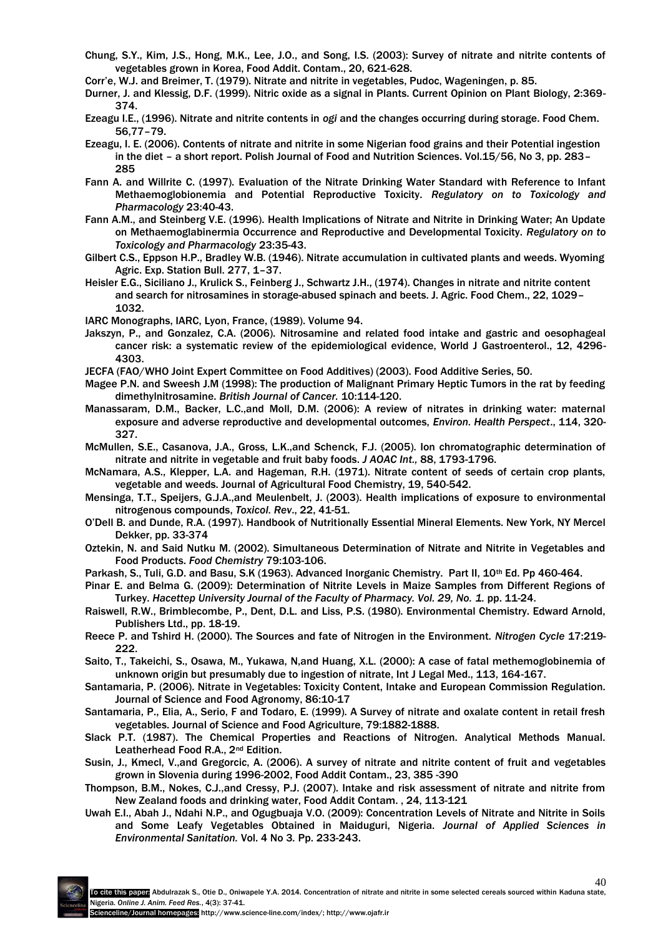- Chung, S.Y., Kim, J.S., Hong, M.K., Lee, J.O., and Song, I.S. (2003): Survey of nitrate and nitrite contents of vegetables grown in Korea, Food Addit. Contam., 20, 621-628.
- Corr'e, W.J. and Breimer, T. (1979). Nitrate and nitrite in vegetables, Pudoc, Wageningen, p. 85.
- Durner, J. and Klessig, D.F. (1999). Nitric oxide as a signal in Plants. Current Opinion on Plant Biology, 2:369- 374.
- Ezeagu I.E., (1996). Nitrate and nitrite contents in *ogi* and the changes occurring during storage. Food Chem. 56,77–79.
- Ezeagu, I. E. (2006). Contents of nitrate and nitrite in some Nigerian food grains and their Potential ingestion in the diet – a short report. Polish Journal of Food and Nutrition Sciences. Vol.15/56, No 3, pp. 283– 285
- Fann A. and Willrite C. (1997). Evaluation of the Nitrate Drinking Water Standard with Reference to Infant Methaemoglobionemia and Potential Reproductive Toxicity. *Regulatory on to Toxicology and Pharmacology* 23:40-43.
- Fann A.M., and Steinberg V.E. (1996). Health Implications of Nitrate and Nitrite in Drinking Water; An Update on Methaemoglabinermia Occurrence and Reproductive and Developmental Toxicity. *Regulatory on to Toxicology and Pharmacology* 23:35-43.
- Gilbert C.S., Eppson H.P., Bradley W.B. (1946). Nitrate accumulation in cultivated plants and weeds. Wyoming Agric. Exp. Station Bull. 277, 1–37.
- Heisler E.G., Siciliano J., Krulick S., Feinberg J., Schwartz J.H., (1974). Changes in nitrate and nitrite content and search for nitrosamines in storage-abused spinach and beets. J. Agric. Food Chem., 22, 1029– 1032.
- IARC Monographs, IARC, Lyon, France, (1989). Volume 94.
- Jakszyn, P., and Gonzalez, C.A. (2006). Nitrosamine and related food intake and gastric and oesophageal cancer risk: a systematic review of the epidemiological evidence, World J Gastroenterol., 12, 4296- 4303.
- JECFA (FAO/WHO Joint Expert Committee on Food Additives) (2003). Food Additive Series, 50.
- Magee P.N. and Sweesh J.M (1998): The production of Malignant Primary Heptic Tumors in the rat by feeding dimethylnitrosamine. *British Journal of Cancer.* 10:114-120.
- Manassaram, D.M., Backer, L.C.,and Moll, D.M. (2006): A review of nitrates in drinking water: maternal exposure and adverse reproductive and developmental outcomes, *Environ. Health Perspect*., 114, 320- 327.
- McMullen, S.E., Casanova, J.A., Gross, L.K.,and Schenck, F.J. (2005). Ion chromatographic determination of nitrate and nitrite in vegetable and fruit baby foods. *J AOAC Int.,* 88, 1793-1796.
- McNamara, A.S., Klepper, L.A. and Hageman, R.H. (1971). Nitrate content of seeds of certain crop plants, vegetable and weeds. Journal of Agricultural Food Chemistry, 19, 540-542.
- Mensinga, T.T., Speijers, G.J.A.,and Meulenbelt, J. (2003). Health implications of exposure to environmental nitrogenous compounds, *Toxicol. Rev*., 22, 41-51.
- O'Dell B. and Dunde, R.A. (1997). Handbook of Nutritionally Essential Mineral Elements. New York, NY Mercel Dekker, pp. 33-374
- Oztekin, N. and Said Nutku M. (2002). Simultaneous Determination of Nitrate and Nitrite in Vegetables and Food Products. *Food Chemistry* 79:103-106.
- Parkash, S., Tuli, G.D. and Basu, S.K (1963). Advanced Inorganic Chemistry. Part II, 10<sup>th</sup> Ed. Pp 460-464.
- Pinar E. and Belma G. (2009): Determination of Nitrite Levels in Maize Samples from Different Regions of Turkey. *Hacettep University Journal of the Faculty of Pharmacy. Vol. 29, No. 1.* pp. 11-24.
- Raiswell, R.W., Brimblecombe, P., Dent, D.L. and Liss, P.S. (1980). Environmental Chemistry. Edward Arnold, Publishers Ltd., pp. 18-19.
- Reece P. and Tshird H. (2000). The Sources and fate of Nitrogen in the Environment. *Nitrogen Cycle* 17:219- 222.
- Saito, T., Takeichi, S., Osawa, M., Yukawa, N,and Huang, X.L. (2000): A case of fatal methemoglobinemia of unknown origin but presumably due to ingestion of nitrate, Int J Legal Med., 113, 164-167.
- Santamaria, P. (2006). Nitrate in Vegetables: Toxicity Content, Intake and European Commission Regulation. Journal of Science and Food Agronomy, 86:10-17
- Santamaria, P., Elia, A., Serio, F and Todaro, E. (1999). A Survey of nitrate and oxalate content in retail fresh vegetables. Journal of Science and Food Agriculture, 79:1882-1888.
- Slack P.T. (1987). The Chemical Properties and Reactions of Nitrogen. Analytical Methods Manual. Leatherhead Food R.A., 2nd Edition.
- Susin, J., Kmecl, V.,and Gregorcic, A. (2006). A survey of nitrate and nitrite content of fruit and vegetables grown in Slovenia during 1996-2002, Food Addit Contam., 23, 385 -390
- Thompson, B.M., Nokes, C.J.,and Cressy, P.J. (2007). Intake and risk assessment of nitrate and nitrite from New Zealand foods and drinking water, Food Addit Contam. , 24, 113-121
- Uwah E.I., Abah J., Ndahi N.P., and Ogugbuaja V.O. (2009): Concentration Levels of Nitrate and Nitrite in Soils and Some Leafy Vegetables Obtained in Maiduguri, Nigeria. *Journal of Applied Sciences in Environmental Sanitation.* Vol. 4 No 3*.* Pp. 233-243.